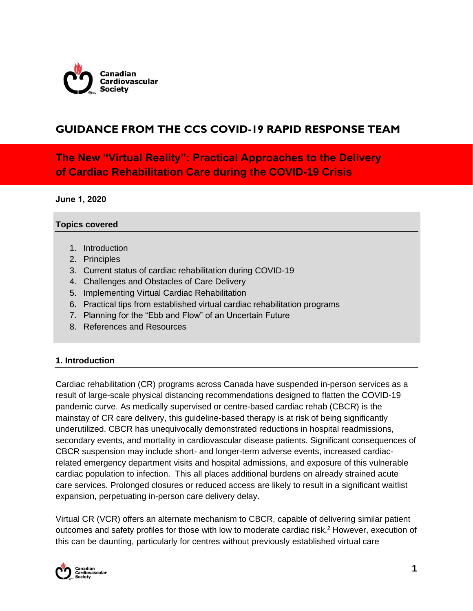

## **GUIDANCE FROM THE CCS COVID-19 RAPID RESPONSE TEAM**

**The New "Virtual Reality": Practical Approaches to the Delivery of Cardiac Rehabilitation Care during the COVID-19 Crisis** 

**June 1, 2020** 

#### **Topics covered**

- 1. Introduction
- 2. Principles
- 3. Current status of cardiac rehabilitation during COVID-19
- 4. Challenges and Obstacles of Care Delivery
- 5. Implementing Virtual Cardiac Rehabilitation
- 6. Practical tips from established virtual cardiac rehabilitation programs
- 7. Planning for the "Ebb and Flow" of an Uncertain Future
- 8. References and Resources

### **1. Introduction**

Cardiac rehabilitation (CR) programs across Canada have suspended in-person services as a result of large-scale physical distancing recommendations designed to flatten the COVID-19 pandemic curve. As medically supervised or centre-based cardiac rehab (CBCR) is the mainstay of CR care delivery, this guideline-based therapy is at risk of being significantly underutilized. CBCR has unequivocally demonstrated reductions in hospital readmissions, secondary events, and mortality in cardiovascular disease patients. Significant consequences of CBCR suspension may include short- and longer-term adverse events, increased cardiacrelated emergency department visits and hospital admissions, and exposure of this vulnerable cardiac population to infection. This all places additional burdens on already strained acute care services. Prolonged closures or reduced access are likely to result in a significant waitlist expansion, perpetuating in-person care delivery delay.

Virtual CR (VCR) offers an alternate mechanism to CBCR, capable of delivering similar patient outcomes and safety profiles for those with low to moderate cardiac risk.<sup>2</sup> However, execution of this can be daunting, particularly for centres without previously established virtual care

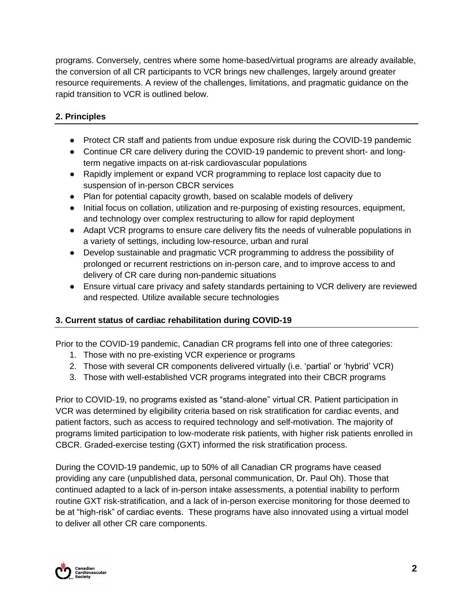programs. Conversely, centres where some home-based/virtual programs are already available, the conversion of all CR participants to VCR brings new challenges, largely around greater resource requirements. A review of the challenges, limitations, and pragmatic guidance on the rapid transition to VCR is outlined below.

## **2. Principles**

- Protect CR staff and patients from undue exposure risk during the COVID-19 pandemic
- Continue CR care delivery during the COVID-19 pandemic to prevent short- and longterm negative impacts on at-risk cardiovascular populations
- Rapidly implement or expand VCR programming to replace lost capacity due to suspension of in-person CBCR services
- Plan for potential capacity growth, based on scalable models of delivery
- Initial focus on collation, utilization and re-purposing of existing resources, equipment, and technology over complex restructuring to allow for rapid deployment
- Adapt VCR programs to ensure care delivery fits the needs of vulnerable populations in a variety of settings, including low-resource, urban and rural
- Develop sustainable and pragmatic VCR programming to address the possibility of prolonged or recurrent restrictions on in-person care, and to improve access to and delivery of CR care during non-pandemic situations
- Ensure virtual care privacy and safety standards pertaining to VCR delivery are reviewed and respected. Utilize available secure technologies

## **3. Current status of cardiac rehabilitation during COVID-19**

Prior to the COVID-19 pandemic, Canadian CR programs fell into one of three categories:

- 1. Those with no pre-existing VCR experience or programs
- 2. Those with several CR components delivered virtually (i.e. 'partial' or 'hybrid' VCR)
- 3. Those with well-established VCR programs integrated into their CBCR programs

Prior to COVID-19, no programs existed as "stand-alone" virtual CR. Patient participation in VCR was determined by eligibility criteria based on risk stratification for cardiac events, and patient factors, such as access to required technology and self-motivation. The majority of programs limited participation to low-moderate risk patients, with higher risk patients enrolled in CBCR. Graded-exercise testing (GXT) informed the risk stratification process.

During the COVID-19 pandemic, up to 50% of all Canadian CR programs have ceased providing any care (unpublished data, personal communication, Dr. Paul Oh). Those that continued adapted to a lack of in-person intake assessments, a potential inability to perform routine GXT risk-stratification, and a lack of in-person exercise monitoring for those deemed to be at "high-risk" of cardiac events. These programs have also innovated using a virtual model to deliver all other CR care components.

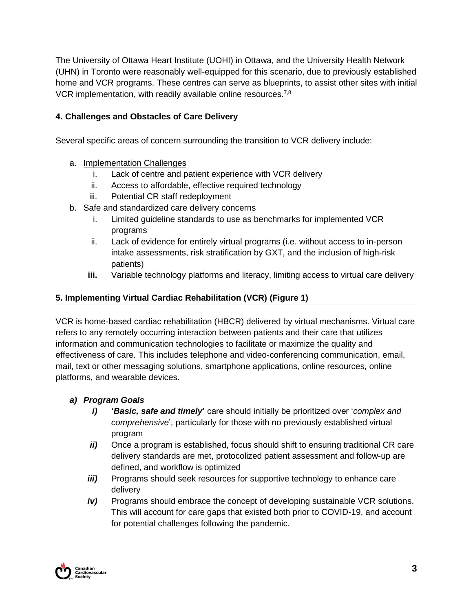The University of Ottawa Heart Institute (UOHI) in Ottawa, and the University Health Network (UHN) in Toronto were reasonably well-equipped for this scenario, due to previously established home and VCR programs. These centres can serve as blueprints, to assist other sites with initial VCR implementation, with readily available online resources.<sup>7,8</sup>

## **4. Challenges and Obstacles of Care Delivery**

Several specific areas of concern surrounding the transition to VCR delivery include:

- a. Implementation Challenges
	- i. Lack of centre and patient experience with VCR delivery
	- ii. Access to affordable, effective required technology
	- iii. Potential CR staff redeployment
- b. Safe and standardized care delivery concerns
	- i. Limited guideline standards to use as benchmarks for implemented VCR programs
	- ii. Lack of evidence for entirely virtual programs (i.e. without access to in-person intake assessments, risk stratification by GXT, and the inclusion of high-risk patients)
	- **iii.** Variable technology platforms and literacy, limiting access to virtual care delivery

### **5. Implementing Virtual Cardiac Rehabilitation (VCR) (Figure 1)**

VCR is home-based cardiac rehabilitation (HBCR) delivered by virtual mechanisms. Virtual care refers to any remotely occurring interaction between patients and their care that utilizes information and communication technologies to facilitate or maximize the quality and effectiveness of care. This includes telephone and video-conferencing communication, email, mail, text or other messaging solutions, smartphone applications, online resources, online platforms, and wearable devices.

## *a) Program Goals*

- *i)* **'***Basic, safe and timely***'** care should initially be prioritized over '*complex and comprehensive*', particularly for those with no previously established virtual program
- *ii)* Once a program is established, focus should shift to ensuring traditional CR care delivery standards are met, protocolized patient assessment and follow-up are defined, and workflow is optimized
- *iii*) Programs should seek resources for supportive technology to enhance care delivery
- *iv)* Programs should embrace the concept of developing sustainable VCR solutions. This will account for care gaps that existed both prior to COVID-19, and account for potential challenges following the pandemic.

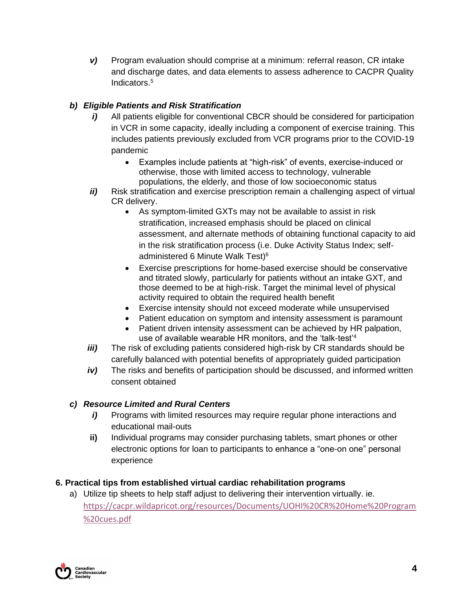*v)* Program evaluation should comprise at a minimum: referral reason, CR intake and discharge dates, and data elements to assess adherence to CACPR Quality Indicators.<sup>5</sup>

## *b) Eligible Patients and Risk Stratification*

- *i*) All patients eligible for conventional CBCR should be considered for participation in VCR in some capacity, ideally including a component of exercise training. This includes patients previously excluded from VCR programs prior to the COVID-19 pandemic
	- Examples include patients at "high-risk" of events, exercise-induced or otherwise, those with limited access to technology, vulnerable populations, the elderly, and those of low socioeconomic status
- *ii)* Risk stratification and exercise prescription remain a challenging aspect of virtual CR delivery.
	- As symptom-limited GXTs may not be available to assist in risk stratification, increased emphasis should be placed on clinical assessment, and alternate methods of obtaining functional capacity to aid in the risk stratification process (i.e. Duke Activity Status Index; selfadministered 6 Minute Walk Test)<sup>6</sup>
	- Exercise prescriptions for home-based exercise should be conservative and titrated slowly, particularly for patients without an intake GXT, and those deemed to be at high-risk. Target the minimal level of physical activity required to obtain the required health benefit
	- Exercise intensity should not exceed moderate while unsupervised
	- Patient education on symptom and intensity assessment is paramount
	- Patient driven intensity assessment can be achieved by HR palpation, use of available wearable HR monitors, and the 'talk-test'<sup>4</sup>
- *iii*) The risk of excluding patients considered high-risk by CR standards should be carefully balanced with potential benefits of appropriately guided participation
- *iv)* The risks and benefits of participation should be discussed, and informed written consent obtained

## *c) Resource Limited and Rural Centers*

- *i*) Programs with limited resources may require regular phone interactions and educational mail-outs
- **ii)** Individual programs may consider purchasing tablets, smart phones or other electronic options for loan to participants to enhance a "one-on one" personal experience

## **6. Practical tips from established virtual cardiac rehabilitation programs**

a) Utilize tip sheets to help staff adjust to delivering their intervention virtually. ie. [https://cacpr.wildapricot.org/resources/Documents/UOHI%20CR%20Home%20Program](https://cacpr.wildapricot.org/resources/Documents/UOHI%20CR%20Home%20Program%20cues.pdf) [%20cues.pdf](https://cacpr.wildapricot.org/resources/Documents/UOHI%20CR%20Home%20Program%20cues.pdf)

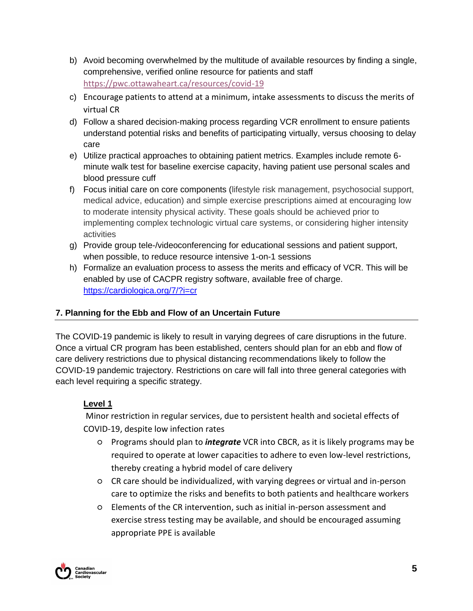- b) Avoid becoming overwhelmed by the multitude of available resources by finding a single, comprehensive, verified online resource for patients and staff <https://pwc.ottawaheart.ca/resources/covid-19>
- c) Encourage patients to attend at a minimum, intake assessments to discuss the merits of virtual CR
- d) Follow a shared decision-making process regarding VCR enrollment to ensure patients understand potential risks and benefits of participating virtually, versus choosing to delay care
- e) Utilize practical approaches to obtaining patient metrics. Examples include remote 6 minute walk test for baseline exercise capacity, having patient use personal scales and blood pressure cuff
- f) Focus initial care on core components (lifestyle risk management, psychosocial support, medical advice, education) and simple exercise prescriptions aimed at encouraging low to moderate intensity physical activity. These goals should be achieved prior to implementing complex technologic virtual care systems, or considering higher intensity activities
- g) Provide group tele-/videoconferencing for educational sessions and patient support, when possible, to reduce resource intensive 1-on-1 sessions
- h) Formalize an evaluation process to assess the merits and efficacy of VCR. This will be enabled by use of CACPR registry software, available free of charge. <https://cardiologica.org/7/?i=cr>

## **7. Planning for the Ebb and Flow of an Uncertain Future**

The COVID-19 pandemic is likely to result in varying degrees of care disruptions in the future. Once a virtual CR program has been established, centers should plan for an ebb and flow of care delivery restrictions due to physical distancing recommendations likely to follow the COVID-19 pandemic trajectory. Restrictions on care will fall into three general categories with each level requiring a specific strategy.

## **Level 1**

Minor restriction in regular services, due to persistent health and societal effects of COVID-19, despite low infection rates

- Programs should plan to *integrate* VCR into CBCR, as it is likely programs may be required to operate at lower capacities to adhere to even low-level restrictions, thereby creating a hybrid model of care delivery
- CR care should be individualized, with varying degrees or virtual and in-person care to optimize the risks and benefits to both patients and healthcare workers
- Elements of the CR intervention, such as initial in-person assessment and exercise stress testing may be available, and should be encouraged assuming appropriate PPE is available

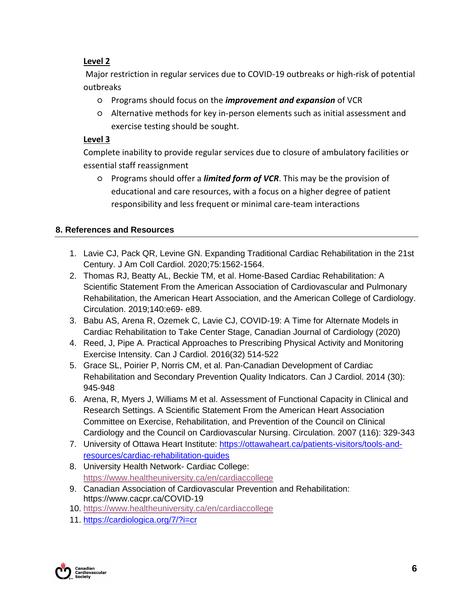## **Level 2**

Major restriction in regular services due to COVID-19 outbreaks or high-risk of potential outbreaks

- Programs should focus on the *improvement and expansion* of VCR
- Alternative methods for key in-person elements such as initial assessment and exercise testing should be sought.

### **Level 3**

Complete inability to provide regular services due to closure of ambulatory facilities or essential staff reassignment

○ Programs should offer a *limited form of VCR*. This may be the provision of educational and care resources, with a focus on a higher degree of patient responsibility and less frequent or minimal care-team interactions

## **8. References and Resources**

- 1. Lavie CJ, Pack QR, Levine GN. Expanding Traditional Cardiac Rehabilitation in the 21st Century. J Am Coll Cardiol. 2020;75:1562-1564.
- 2. Thomas RJ, Beatty AL, Beckie TM, et al. Home-Based Cardiac Rehabilitation: A Scientific Statement From the American Association of Cardiovascular and Pulmonary Rehabilitation, the American Heart Association, and the American College of Cardiology. Circulation. 2019;140:e69- e89.
- 3. Babu AS, Arena R, Ozemek C, Lavie CJ, COVID-19: A Time for Alternate Models in Cardiac Rehabilitation to Take Center Stage, Canadian Journal of Cardiology (2020)
- 4. Reed, J, Pipe A. Practical Approaches to Prescribing Physical Activity and Monitoring Exercise Intensity. Can J Cardiol. 2016(32) 514-522
- 5. Grace SL, Poirier P, Norris CM, et al. Pan-Canadian Development of Cardiac Rehabilitation and Secondary Prevention Quality Indicators. Can J Cardiol. 2014 (30): 945-948
- 6. Arena, R, Myers J, Williams M et al. Assessment of Functional Capacity in Clinical and Research Settings. A Scientific Statement From the American Heart Association Committee on Exercise, Rehabilitation, and Prevention of the Council on Clinical Cardiology and the Council on Cardiovascular Nursing. Circulation. 2007 (116): 329-343
- 7. University of Ottawa Heart Institute: [https://ottawaheart.ca/patients-visitors/tools-and](https://ottawaheart.ca/patients-visitors/tools-and-resources/cardiac-rehabilitation-guides)[resources/cardiac-rehabilitation-guides](https://ottawaheart.ca/patients-visitors/tools-and-resources/cardiac-rehabilitation-guides)
- 8. University Health Network- Cardiac College: https://www.healtheuniversity.ca/en/cardiaccollege
- 9. Canadian Association of Cardiovascular Prevention and Rehabilitation: https://www.cacpr.ca/COVID-19
- 10. <https://www.healtheuniversity.ca/en/cardiaccollege>
- 11. <https://cardiologica.org/7/?i=cr>

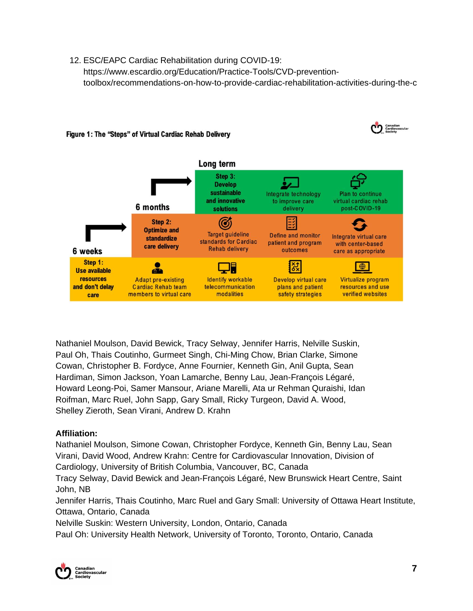12. ESC/EAPC Cardiac Rehabilitation during COVID-19: https://www.escardio.org/Education/Practice-Tools/CVD-preventiontoolbox/recommendations-on-how-to-provide-cardiac-rehabilitation-activities-during-the-c



#### Figure 1: The "Steps" of Virtual Cardiac Rehab Delivery

Nathaniel Moulson, David Bewick, Tracy Selway, Jennifer Harris, Nelville Suskin, Paul Oh, Thais Coutinho, Gurmeet Singh, Chi-Ming Chow, Brian Clarke, Simone Cowan, Christopher B. Fordyce, Anne Fournier, Kenneth Gin, Anil Gupta, Sean Hardiman, Simon Jackson, Yoan Lamarche, Benny Lau, Jean-François Légaré, Howard Leong-Poi, Samer Mansour, Ariane Marelli, Ata ur Rehman Quraishi, Idan Roifman, Marc Ruel, John Sapp, Gary Small, Ricky Turgeon, David A. Wood, Shelley Zieroth, Sean Virani, Andrew D. Krahn

### **Affiliation:**

Nathaniel Moulson, Simone Cowan, Christopher Fordyce, Kenneth Gin, Benny Lau, Sean Virani, David Wood, Andrew Krahn: Centre for Cardiovascular Innovation, Division of Cardiology, University of British Columbia, Vancouver, BC, Canada

Tracy Selway, David Bewick and Jean-François Légaré, New Brunswick Heart Centre, Saint John, NB

Jennifer Harris, Thais Coutinho, Marc Ruel and Gary Small: University of Ottawa Heart Institute, Ottawa, Ontario, Canada

Nelville Suskin: Western University, London, Ontario, Canada

Paul Oh: University Health Network, University of Toronto, Toronto, Ontario, Canada

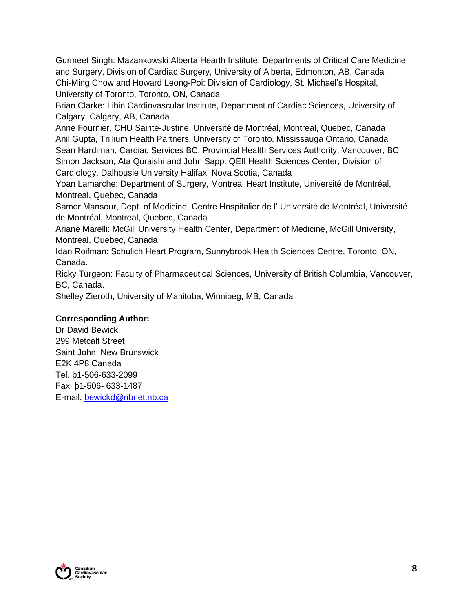Gurmeet Singh: Mazankowski Alberta Hearth Institute, Departments of Critical Care Medicine and Surgery, Division of Cardiac Surgery, University of Alberta, Edmonton, AB, Canada Chi-Ming Chow and Howard Leong-Poi: Division of Cardiology, St. Michael's Hospital, University of Toronto, Toronto, ON, Canada

Brian Clarke: Libin Cardiovascular Institute, Department of Cardiac Sciences, University of Calgary, Calgary, AB, Canada

Anne Fournier, CHU Sainte-Justine, Université de Montréal, Montreal, Quebec, Canada Anil Gupta, Trillium Health Partners, University of Toronto, Mississauga Ontario, Canada Sean Hardiman, Cardiac Services BC, Provincial Health Services Authority, Vancouver, BC Simon Jackson, Ata Quraishi and John Sapp: QEII Health Sciences Center, Division of Cardiology, Dalhousie University Halifax, Nova Scotia, Canada

Yoan Lamarche: Department of Surgery, Montreal Heart Institute, Université de Montréal, Montreal, Quebec, Canada

Samer Mansour, Dept. of Medicine, Centre Hospitalier de l' Université de Montréal, Université de Montréal, Montreal, Quebec, Canada

Ariane Marelli: McGill University Health Center, Department of Medicine, McGill University, Montreal, Quebec, Canada

Idan Roifman: Schulich Heart Program, Sunnybrook Health Sciences Centre, Toronto, ON, Canada.

Ricky Turgeon: Faculty of Pharmaceutical Sciences, University of British Columbia, Vancouver, BC, Canada.

Shelley Zieroth, University of Manitoba, Winnipeg, MB, Canada

### **Corresponding Author:**

Dr David Bewick, 299 Metcalf Street Saint John, New Brunswick E2K 4P8 Canada Tel. þ1-506-633-2099 Fax: þ1-506- 633-1487 E-mail: [bewickd@nbnet.nb.ca](mailto:bewickd@nbnet.nb.ca)

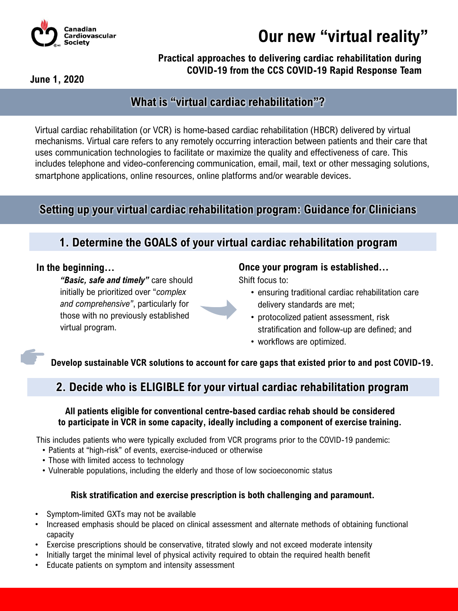

**Our new "virtual reality"** 

### **Practical approaches to delivering cardiac rehabilitation during COVID-19 from the CCS COVID-19 Rapid Response Team**

**June 1, 2020**

## **What is "virtual cardiac rehabilitation"?**

Virtual cardiac rehabilitation (or VCR) is home-based cardiac rehabilitation (HBCR) delivered by virtual mechanisms. Virtual care refers to any remotely occurring interaction between patients and their care that uses communication technologies to facilitate or maximize the quality and effectiveness of care. This includes telephone and video-conferencing communication, email, mail, text or other messaging solutions, smartphone applications, online resources, online platforms and/or wearable devices.

## **Setting up your virtual cardiac rehabilitation program: Guidance for Clinicians**

## **1. Determine the GOALS of your virtual cardiac rehabilitation program**

#### **In the beginning…**

*"Basic, safe and timely"* care should initially be prioritized over "*complex and comprehensive"*, particularly for those with no previously established virtual program.

### **Once your program is established…**

Shift focus to:

- ensuring traditional cardiac rehabilitation care delivery standards are met;
- protocolized patient assessment, risk stratification and follow-up are defined; and
- workflows are optimized.

**Develop sustainable VCR solutions to account for care gaps that existed prior to and post COVID-19.**

## **2. Decide who is ELIGIBLE for your virtual cardiac rehabilitation program**

### **All patients eligible for conventional centre-based cardiac rehab should be considered to participate in VCR in some capacity, ideally including a component of exercise training.**

This includes patients who were typically excluded from VCR programs prior to the COVID-19 pandemic:

- Patients at "high-risk" of events, exercise-induced or otherwise
- Those with limited access to technology
- Vulnerable populations, including the elderly and those of low socioeconomic status

### **Risk stratification and exercise prescription is both challenging and paramount.**

- Symptom-limited GXTs may not be available
- Increased emphasis should be placed on clinical assessment and alternate methods of obtaining functional capacity
- Exercise prescriptions should be conservative, titrated slowly and not exceed moderate intensity
- Initially target the minimal level of physical activity required to obtain the required health benefit
- Educate patients on symptom and intensity assessment